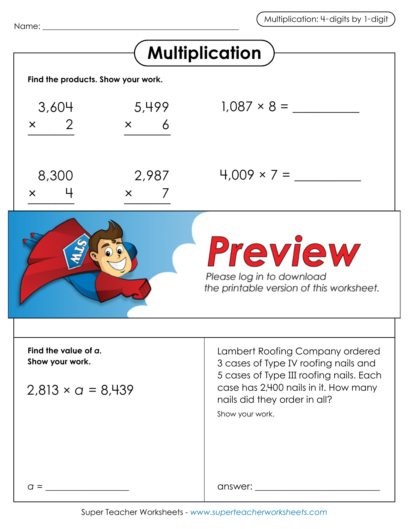| <b>Multiplication</b>                                               |                        |                                                                                                                                                                                                               |
|---------------------------------------------------------------------|------------------------|---------------------------------------------------------------------------------------------------------------------------------------------------------------------------------------------------------------|
| Find the products. Show your work.                                  |                        |                                                                                                                                                                                                               |
| 3,604<br>$\overline{2}$<br>$\times$                                 | 5,499<br>6<br>$\times$ | $1.087 \times 8 =$                                                                                                                                                                                            |
| 8,300<br>$\times$                                                   | 2,987<br>$\times$      | $4,009 \times 7 =$                                                                                                                                                                                            |
|                                                                     |                        | Preview<br>Please log in to download<br>the printable version of this worksheet.                                                                                                                              |
| Find the value of a.<br>Show your work.<br>$2,813 \times a = 8,439$ |                        | Lambert Roofing Company ordered<br>3 cases of Type IV roofing nails and<br>5 cases of Type III roofing nails. Each<br>case has 2,400 nails in it. How many<br>nails did they order in all?<br>Show your work. |
| $q =$                                                               |                        |                                                                                                                                                                                                               |